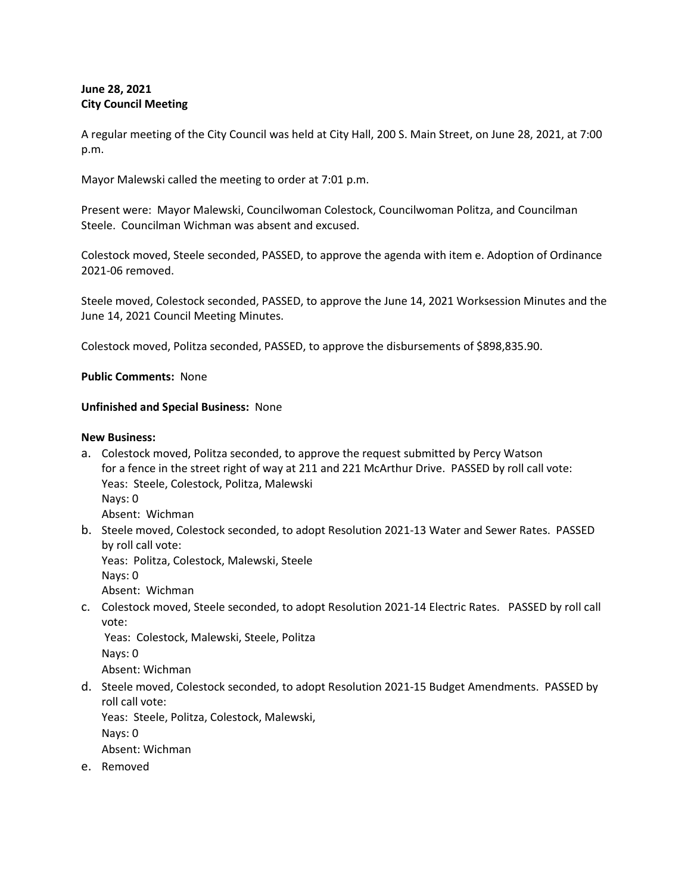# **June 28, 2021 City Council Meeting**

A regular meeting of the City Council was held at City Hall, 200 S. Main Street, on June 28, 2021, at 7:00 p.m.

Mayor Malewski called the meeting to order at 7:01 p.m.

Present were: Mayor Malewski, Councilwoman Colestock, Councilwoman Politza, and Councilman Steele. Councilman Wichman was absent and excused.

Colestock moved, Steele seconded, PASSED, to approve the agenda with item e. Adoption of Ordinance 2021-06 removed.

Steele moved, Colestock seconded, PASSED, to approve the June 14, 2021 Worksession Minutes and the June 14, 2021 Council Meeting Minutes.

Colestock moved, Politza seconded, PASSED, to approve the disbursements of \$898,835.90.

**Public Comments:** None

## **Unfinished and Special Business:** None

## **New Business:**

- a. Colestock moved, Politza seconded, to approve the request submitted by Percy Watson for a fence in the street right of way at 211 and 221 McArthur Drive. PASSED by roll call vote: Yeas: Steele, Colestock, Politza, Malewski Nays: 0 Absent: Wichman
- b. Steele moved, Colestock seconded, to adopt Resolution 2021-13 Water and Sewer Rates. PASSED by roll call vote:

Yeas: Politza, Colestock, Malewski, Steele Nays: 0

- Absent: Wichman
- c. Colestock moved, Steele seconded, to adopt Resolution 2021-14 Electric Rates. PASSED by roll call vote:

Yeas: Colestock, Malewski, Steele, Politza Nays: 0

Absent: Wichman

d. Steele moved, Colestock seconded, to adopt Resolution 2021-15 Budget Amendments. PASSED by roll call vote:

Yeas: Steele, Politza, Colestock, Malewski,

Nays: 0

Absent: Wichman

e. Removed